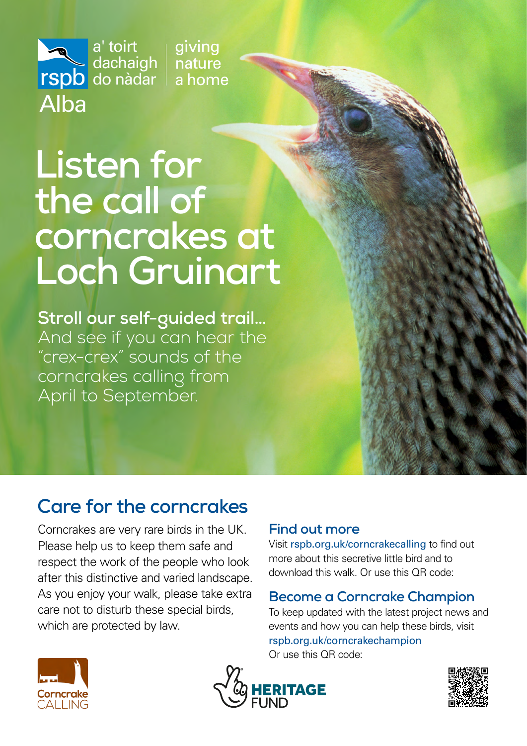giving nature dachaigh a home

# **Listen for the call of corncrakes at Loch Gruinart**

a' toirt

Alba

do nàdar

**Stroll our self-guided trail…** And see if you can hear the "crex-crex" sounds of the corncrakes calling from April to September.

## **Care for the corncrakes**

Corncrakes are very rare birds in the UK. Please help us to keep them safe and respect the work of the people who look after this distinctive and varied landscape. As you enjoy your walk, please take extra care not to disturb these special birds, which are protected by law.

#### **Find out more**

Visit [rspb.org.uk/corncrakecalling](https://www.rspb.org.uk/our-work/conservation/projects/corncrake-calling/) to find out more about this secretive little bird and to download this walk. Or use this QR code:

#### **Become a Corncrake Champion**

To keep updated with the latest project news and events and how you can help these birds, visit [rspb.org.uk/corncrakechampion](https://www.rspb.org.uk/our-work/conservation/projects/corncrake-calling/corncrake-champion/) Or use this QR code: